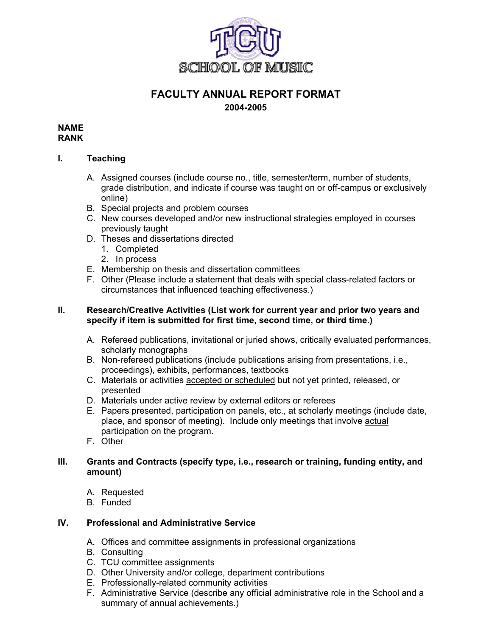

# **FACULTY ANNUAL REPORT FORMAT 2004-2005**

#### **NAME RANK**

# **I. Teaching**

- A. Assigned courses (include course no., title, semester/term, number of students, grade distribution, and indicate if course was taught on or off-campus or exclusively online)
- B. Special projects and problem courses
- C. New courses developed and/or new instructional strategies employed in courses previously taught
- D. Theses and dissertations directed
	- 1. Completed
	- 2. In process
- E. Membership on thesis and dissertation committees
- F. Other (Please include a statement that deals with special class-related factors or circumstances that influenced teaching effectiveness.)

### **II. Research/Creative Activities (List work for current year and prior two years and specify if item is submitted for first time, second time, or third time.)**

- A. Refereed publications, invitational or juried shows, critically evaluated performances, scholarly monographs
- B. Non-refereed publications (include publications arising from presentations, i.e., proceedings), exhibits, performances, textbooks
- C. Materials or activities accepted or scheduled but not yet printed, released, or presented
- D. Materials under active review by external editors or referees
- E. Papers presented, participation on panels, etc., at scholarly meetings (include date, place, and sponsor of meeting). Include only meetings that involve actual participation on the program.
- F. Other

### **III. Grants and Contracts (specify type, i.e., research or training, funding entity, and amount)**

- A. Requested
- B. Funded

### **IV. Professional and Administrative Service**

- A. Offices and committee assignments in professional organizations
- B. Consulting
- C. TCU committee assignments
- D. Other University and/or college, department contributions
- E. Professionally-related community activities
- F. Administrative Service (describe any official administrative role in the School and a summary of annual achievements.)